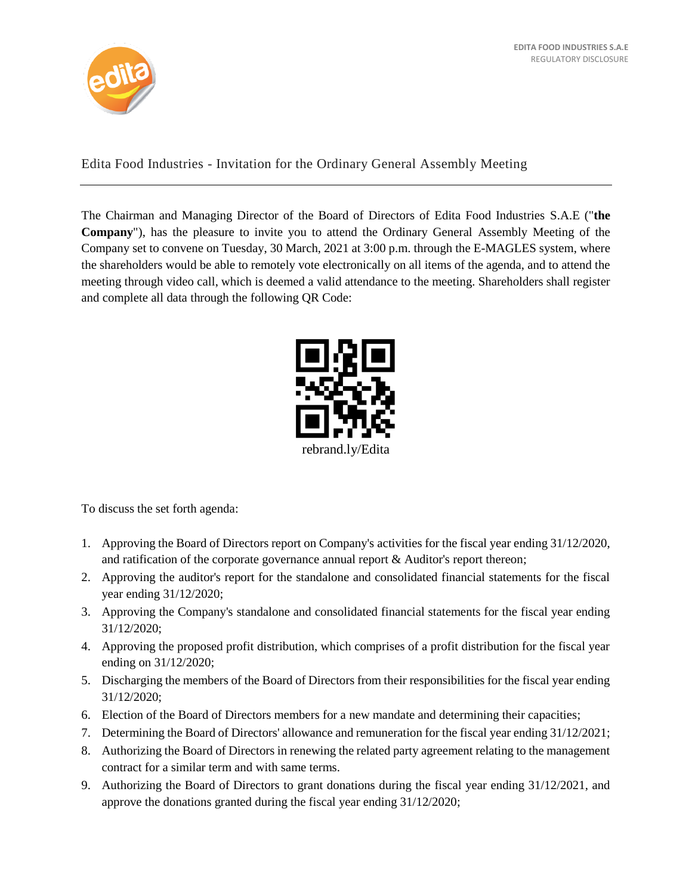

Edita Food Industries - Invitation for the Ordinary General Assembly Meeting

The Chairman and Managing Director of the Board of Directors of Edita Food Industries S.A.E ("**the Company**"), has the pleasure to invite you to attend the Ordinary General Assembly Meeting of the Company set to convene on Tuesday, 30 March, 2021 at 3:00 p.m. through the E-MAGLES system, where the shareholders would be able to remotely vote electronically on all items of the agenda, and to attend the meeting through video call, which is deemed a valid attendance to the meeting. Shareholders shall register and complete all data through the following QR Code:



To discuss the set forth agenda:

- 1. Approving the Board of Directors report on Company's activities for the fiscal year ending 31/12/2020, and ratification of the corporate governance annual report & Auditor's report thereon;
- 2. Approving the auditor's report for the standalone and consolidated financial statements for the fiscal year ending 31/12/2020;
- 3. Approving the Company's standalone and consolidated financial statements for the fiscal year ending 31/12/2020;
- 4. Approving the proposed profit distribution, which comprises of a profit distribution for the fiscal year ending on 31/12/2020;
- 5. Discharging the members of the Board of Directors from their responsibilities for the fiscal year ending 31/12/2020;
- 6. Election of the Board of Directors members for a new mandate and determining their capacities;
- 7. Determining the Board of Directors' allowance and remuneration for the fiscal year ending 31/12/2021;
- 8. Authorizing the Board of Directors in renewing the related party agreement relating to the management contract for a similar term and with same terms.
- 9. Authorizing the Board of Directors to grant donations during the fiscal year ending 31/12/2021, and approve the donations granted during the fiscal year ending 31/12/2020;